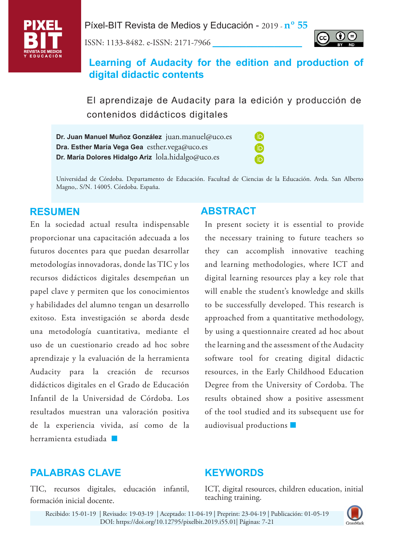

Píxel-BIT Revista de Medios y Educación - 2019 - **nº 55**

ISSN: 1133-8482. e-ISSN: 2171-7966 **\_\_\_\_\_\_\_\_\_\_\_\_\_\_\_\_**



# **Learning of Audacity for the edition and production of digital didactic contents**

El aprendizaje de Audacity para la edición y producción de contenidos didácticos digitales

> (iD íd ſD

**Dr. Juan Manuel Muñoz González** juan.manuel@uco.es **Dra. Esther María Vega Gea** esther.vega@uco.es **Dr. María Dolores Hidalgo Ariz** lola.hidalgo@uco.es

Universidad de Córdoba. Departamento de Educación. Facultad de Ciencias de la Educación. Avda. San Alberto Magno,. S/N. 14005. Córdoba. España.

En la sociedad actual resulta indispensable proporcionar una capacitación adecuada a los futuros docentes para que puedan desarrollar metodologías innovadoras, donde las TIC y los recursos didácticos digitales desempeñan un papel clave y permiten que los conocimientos y habilidades del alumno tengan un desarrollo exitoso. Esta investigación se aborda desde una metodología cuantitativa, mediante el uso de un cuestionario creado ad hoc sobre aprendizaje y la evaluación de la herramienta Audacity para la creación de recursos didácticos digitales en el Grado de Educación Infantil de la Universidad de Córdoba. Los resultados muestran una valoración positiva de la experiencia vivida, así como de la resuitados muestran una<br>de la experiencia vivida<br>herramienta estudiada

## **RESUMEN ABSTRACT**

In present society it is essential to provide the necessary training to future teachers so they can accomplish innovative teaching and learning methodologies, where ICT and digital learning resources play a key role that will enable the student's knowledge and skills to be successfully developed. This research is approached from a quantitative methodology, by using a questionnaire created ad hoc about the learning and the assessment of the Audacity software tool for creating digital didactic resources, in the Early Childhood Education Degree from the University of Cordoba. The results obtained show a positive assessment of the tool studied and its subsequent use for audiovisual productions**.**

## **PALABRAS CLAVE**

TIC, recursos digitales, educación infantil, formación inicial docente.

# **KEYWORDS**

ICT, digital resources, children education, initial teaching training.

Recibido: 15-01-19 | Revisado: 19-03-19 | Aceptado: 11-04-19 | Preprint: 23-04-19 | Publicación: 01-05-19 DOI: <https://doi.org/10.12795/pixelbit.2019.i55.01>| Páginas: 7-21

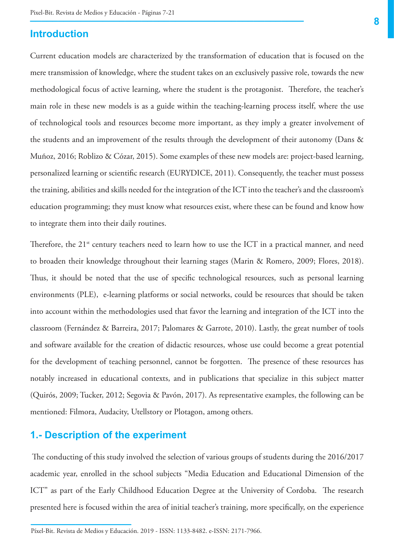## **Introduction**

Current education models are characterized by the transformation of education that is focused on the mere transmission of knowledge, where the student takes on an exclusively passive role, towards the new methodological focus of active learning, where the student is the protagonist. Therefore, the teacher's main role in these new models is as a guide within the teaching-learning process itself, where the use of technological tools and resources become more important, as they imply a greater involvement of the students and an improvement of the results through the development of their autonomy (Dans & Muñoz, 2016; Roblizo & Cózar, 2015). Some examples of these new models are: project-based learning, personalized learning or scientific research (EURYDICE, 2011). Consequently, the teacher must possess the training, abilities and skills needed for the integration of the ICT into the teacher's and the classroom's education programming; they must know what resources exist, where these can be found and know how to integrate them into their daily routines.

Therefore, the  $21<sup>st</sup>$  century teachers need to learn how to use the ICT in a practical manner, and need to broaden their knowledge throughout their learning stages (Marin & Romero, 2009; Flores, 2018). Thus, it should be noted that the use of specific technological resources, such as personal learning environments (PLE), e-learning platforms or social networks, could be resources that should be taken into account within the methodologies used that favor the learning and integration of the ICT into the classroom (Fernández & Barreira, 2017; Palomares & Garrote, 2010). Lastly, the great number of tools and software available for the creation of didactic resources, whose use could become a great potential for the development of teaching personnel, cannot be forgotten. The presence of these resources has notably increased in educational contexts, and in publications that specialize in this subject matter (Quirós, 2009; Tucker, 2012; Segovia & Pavón, 2017). As representative examples, the following can be mentioned: Filmora, Audacity, Utellstory or Plotagon, among others.

## **1.- Description of the experiment**

**\_\_\_\_\_\_\_\_\_\_\_\_\_\_\_\_\_\_**

 The conducting of this study involved the selection of various groups of students during the 2016/2017 academic year, enrolled in the school subjects "Media Education and Educational Dimension of the ICT" as part of the Early Childhood Education Degree at the University of Cordoba. The research presented here is focused within the area of initial teacher's training, more specifically, on the experience

Píxel-Bit. Revista de Medios y Educación. 2019 - ISSN: 1133-8482. e-ISSN: 2171-7966.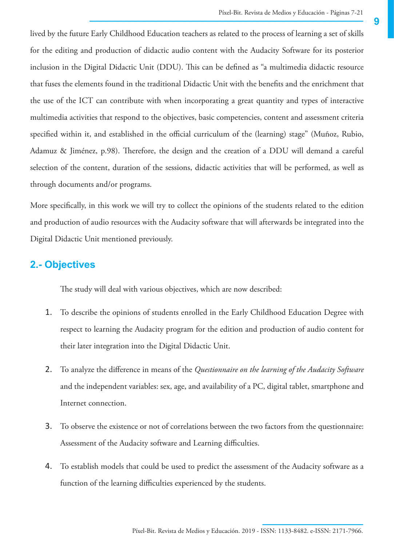lived by the future Early Childhood Education teachers as related to the process of learning a set of skills for the editing and production of didactic audio content with the Audacity Software for its posterior inclusion in the Digital Didactic Unit (DDU). This can be defined as "a multimedia didactic resource that fuses the elements found in the traditional Didactic Unit with the benefits and the enrichment that the use of the ICT can contribute with when incorporating a great quantity and types of interactive multimedia activities that respond to the objectives, basic competencies, content and assessment criteria specified within it, and established in the official curriculum of the (learning) stage" (Muñoz, Rubio, Adamuz & Jiménez, p.98). Therefore, the design and the creation of a DDU will demand a careful selection of the content, duration of the sessions, didactic activities that will be performed, as well as through documents and/or programs.

More specifically, in this work we will try to collect the opinions of the students related to the edition and production of audio resources with the Audacity software that will afterwards be integrated into the Digital Didactic Unit mentioned previously.

## **2.- Objectives**

The study will deal with various objectives, which are now described:

- 1. To describe the opinions of students enrolled in the Early Childhood Education Degree with respect to learning the Audacity program for the edition and production of audio content for their later integration into the Digital Didactic Unit.
- 2. To analyze the difference in means of the *Questionnaire on the learning of the Audacity Software*  and the independent variables: sex, age, and availability of a PC, digital tablet, smartphone and Internet connection.
- 3. To observe the existence or not of correlations between the two factors from the questionnaire: Assessment of the Audacity software and Learning difficulties.
- 4. To establish models that could be used to predict the assessment of the Audacity software as a function of the learning difficulties experienced by the students.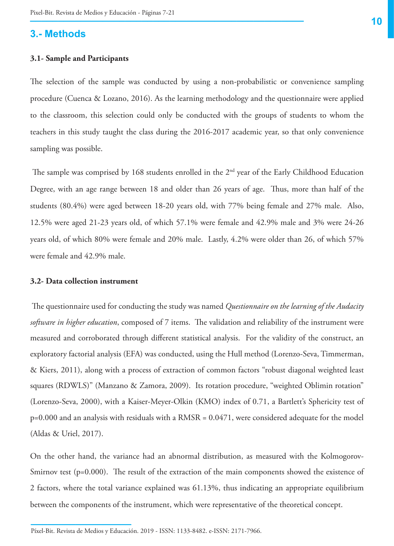## **3.- Methods**

#### **3.1- Sample and Participants**

The selection of the sample was conducted by using a non-probabilistic or convenience sampling procedure (Cuenca & Lozano, 2016). As the learning methodology and the questionnaire were applied to the classroom, this selection could only be conducted with the groups of students to whom the teachers in this study taught the class during the 2016-2017 academic year, so that only convenience sampling was possible.

The sample was comprised by 168 students enrolled in the 2<sup>nd</sup> year of the Early Childhood Education Degree, with an age range between 18 and older than 26 years of age. Thus, more than half of the students (80.4%) were aged between 18-20 years old, with 77% being female and 27% male. Also, 12.5% were aged 21-23 years old, of which 57.1% were female and 42.9% male and 3% were 24-26 years old, of which 80% were female and 20% male. Lastly, 4.2% were older than 26, of which 57% were female and 42.9% male.

#### **3.2- Data collection instrument**

**\_\_\_\_\_\_\_\_\_\_\_\_\_\_\_\_\_\_**

 The questionnaire used for conducting the study was named *Questionnaire on the learning of the Audacity software in higher education*, composed of 7 items. The validation and reliability of the instrument were measured and corroborated through different statistical analysis. For the validity of the construct, an exploratory factorial analysis (EFA) was conducted, using the Hull method (Lorenzo-Seva, Timmerman, & Kiers, 2011), along with a process of extraction of common factors "robust diagonal weighted least squares (RDWLS)" (Manzano & Zamora, 2009). Its rotation procedure, "weighted Oblimin rotation" (Lorenzo-Seva, 2000), with a Kaiser-Meyer-Olkin (KMO) index of 0.71, a Bartlett's Sphericity test of p=0.000 and an analysis with residuals with a RMSR = 0.0471, were considered adequate for the model (Aldas & Uriel, 2017).

On the other hand, the variance had an abnormal distribution, as measured with the Kolmogorov-Smirnov test (p=0.000). The result of the extraction of the main components showed the existence of 2 factors, where the total variance explained was 61.13%, thus indicating an appropriate equilibrium between the components of the instrument, which were representative of the theoretical concept.

Píxel-Bit. Revista de Medios y Educación. 2019 - ISSN: 1133-8482. e-ISSN: 2171-7966.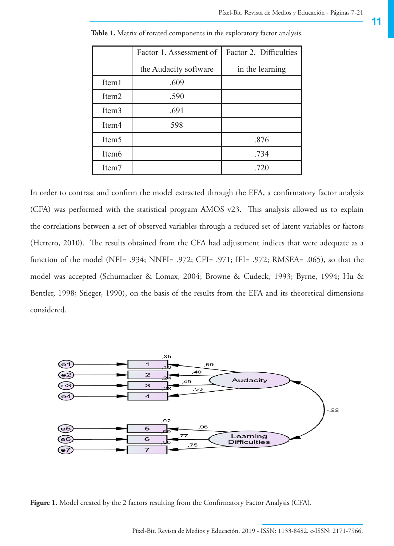|                   | Factor 1. Assessment of | Factor 2. Difficulties |  |  |  |
|-------------------|-------------------------|------------------------|--|--|--|
|                   | the Audacity software   | in the learning        |  |  |  |
| Item <sub>1</sub> | .609                    |                        |  |  |  |
| Item <sub>2</sub> | .590                    |                        |  |  |  |
| Item <sub>3</sub> | .691                    |                        |  |  |  |
| Item <sub>4</sub> | 598                     |                        |  |  |  |
| Item <sub>5</sub> |                         | .876                   |  |  |  |
| Item <sub>6</sub> |                         | .734                   |  |  |  |
| Item7             |                         | .720                   |  |  |  |

**Table 1.** Matrix of rotated components in the exploratory factor analysis.

In order to contrast and confirm the model extracted through the EFA, a confirmatory factor analysis (CFA) was performed with the statistical program AMOS v23. This analysis allowed us to explain the correlations between a set of observed variables through a reduced set of latent variables or factors (Herrero, 2010). The results obtained from the CFA had adjustment indices that were adequate as a function of the model (NFI= .934; NNFI= .972; CFI= .971; IFI= .972; RMSEA= .065), so that the model was accepted (Schumacker & Lomax, 2004; Browne & Cudeck, 1993; Byrne, 1994; Hu & Bentler, 1998; Stieger, 1990), on the basis of the results from the EFA and its theoretical dimensions considered.



**Figure 1.** Model created by the 2 factors resulting from the Confirmatory Factor Analysis (CFA).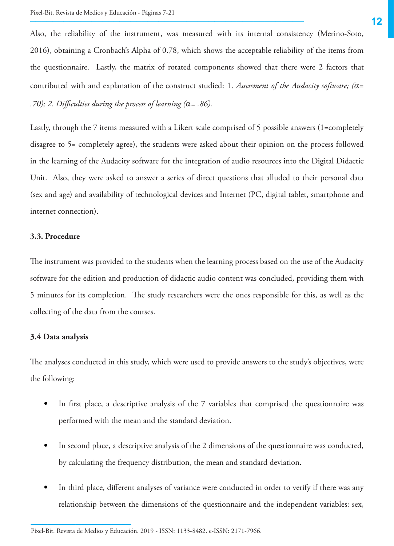Also, the reliability of the instrument, was measured with its internal consistency (Merino-Soto, 2016), obtaining a Cronbach's Alpha of 0.78, which shows the acceptable reliability of the items from the questionnaire. Lastly, the matrix of rotated components showed that there were 2 factors that contributed with and explanation of the construct studied: 1. *Assessment of the Audacity software; (α= .70); 2. Difficulties during the process of learning (α= .86).*

Lastly, through the 7 items measured with a Likert scale comprised of 5 possible answers (1=completely disagree to 5= completely agree), the students were asked about their opinion on the process followed in the learning of the Audacity software for the integration of audio resources into the Digital Didactic Unit. Also, they were asked to answer a series of direct questions that alluded to their personal data (sex and age) and availability of technological devices and Internet (PC, digital tablet, smartphone and internet connection).

### **3.3. Procedure**

The instrument was provided to the students when the learning process based on the use of the Audacity software for the edition and production of didactic audio content was concluded, providing them with 5 minutes for its completion. The study researchers were the ones responsible for this, as well as the collecting of the data from the courses.

#### **3.4 Data analysis**

**\_\_\_\_\_\_\_\_\_\_\_\_\_\_\_\_\_\_**

The analyses conducted in this study, which were used to provide answers to the study's objectives, were the following:

- In first place, a descriptive analysis of the 7 variables that comprised the questionnaire was performed with the mean and the standard deviation.
- In second place, a descriptive analysis of the 2 dimensions of the questionnaire was conducted, by calculating the frequency distribution, the mean and standard deviation.
- In third place, different analyses of variance were conducted in order to verify if there was any relationship between the dimensions of the questionnaire and the independent variables: sex,

Píxel-Bit. Revista de Medios y Educación. 2019 - ISSN: 1133-8482. e-ISSN: 2171-7966.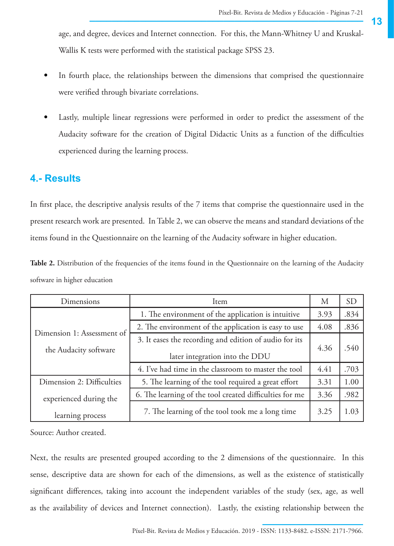age, and degree, devices and Internet connection. For this, the Mann-Whitney U and Kruskal-Wallis K tests were performed with the statistical package SPSS 23.

- In fourth place, the relationships between the dimensions that comprised the questionnaire were verified through bivariate correlations.
- Lastly, multiple linear regressions were performed in order to predict the assessment of the Audacity software for the creation of Digital Didactic Units as a function of the difficulties experienced during the learning process.

## **4.- Results**

In first place, the descriptive analysis results of the 7 items that comprise the questionnaire used in the present research work are presented. In Table 2, we can observe the means and standard deviations of the items found in the Questionnaire on the learning of the Audacity software in higher education.

Table 2. Distribution of the frequencies of the items found in the Questionnaire on the learning of the Audacity software in higher education

| Dimensions                 | Item                                                                                     | M    | <b>SD</b> |
|----------------------------|------------------------------------------------------------------------------------------|------|-----------|
|                            | 1. The environment of the application is intuitive                                       | 3.93 | .834      |
| Dimension 1: Assessment of | 2. The environment of the application is easy to use                                     | 4.08 | .836      |
| the Audacity software      | 3. It eases the recording and edition of audio for its<br>later integration into the DDU |      | .540      |
|                            | 4. I've had time in the classroom to master the tool                                     | 4.41 | .703      |
| Dimension 2: Difficulties  | 5. The learning of the tool required a great effort                                      | 3.31 | 1.00      |
| experienced during the     | 6. The learning of the tool created difficulties for me                                  | 3.36 | .982      |
| learning process           | 7. The learning of the tool took me a long time                                          |      | 1.03      |

Source: Author created.

Next, the results are presented grouped according to the 2 dimensions of the questionnaire. In this sense, descriptive data are shown for each of the dimensions, as well as the existence of statistically significant differences, taking into account the independent variables of the study (sex, age, as well as the availability of devices and Internet connection). Lastly, the existing relationship between the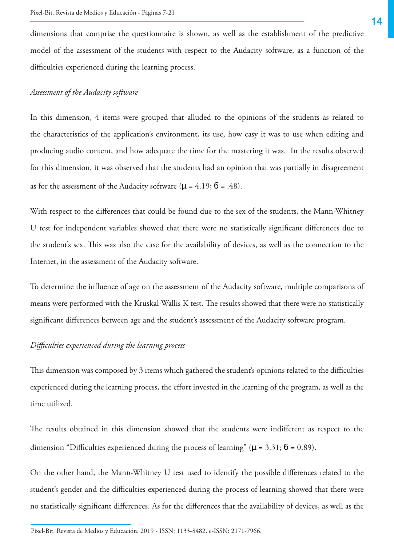dimensions that comprise the questionnaire is shown, as well as the establishment of the predictive model of the assessment of the students with respect to the Audacity software, as a function of the difficulties experienced during the learning process.

#### *Assessment of the Audacity software*

In this dimension, 4 items were grouped that alluded to the opinions of the students as related to the characteristics of the application's environment, its use, how easy it was to use when editing and producing audio content, and how adequate the time for the mastering it was. In the results observed for this dimension, it was observed that the students had an opinion that was partially in disagreement as for the assessment of the Audacity software ( $\mu$  = 4.19;  $\bar{0}$  = .48).

With respect to the differences that could be found due to the sex of the students, the Mann-Whitney U test for independent variables showed that there were no statistically significant differences due to the student's sex. This was also the case for the availability of devices, as well as the connection to the Internet, in the assessment of the Audacity software.

To determine the influence of age on the assessment of the Audacity software, multiple comparisons of means were performed with the Kruskal-Wallis K test. The results showed that there were no statistically significant differences between age and the student's assessment of the Audacity software program.

#### *Difficulties experienced during the learning process*

**\_\_\_\_\_\_\_\_\_\_\_\_\_\_\_\_\_\_**

This dimension was composed by 3 items which gathered the student's opinions related to the difficulties experienced during the learning process, the effort invested in the learning of the program, as well as the time utilized.

The results obtained in this dimension showed that the students were indifferent as respect to the dimension "Difficulties experienced during the process of learning" ( $\mu$  = 3.31;  $\bar{0}$  = 0.89).

On the other hand, the Mann-Whitney U test used to identify the possible differences related to the student's gender and the difficulties experienced during the process of learning showed that there were no statistically significant differences. As for the differences that the availability of devices, as well as the

Píxel-Bit. Revista de Medios y Educación. 2019 - ISSN: 1133-8482. e-ISSN: 2171-7966.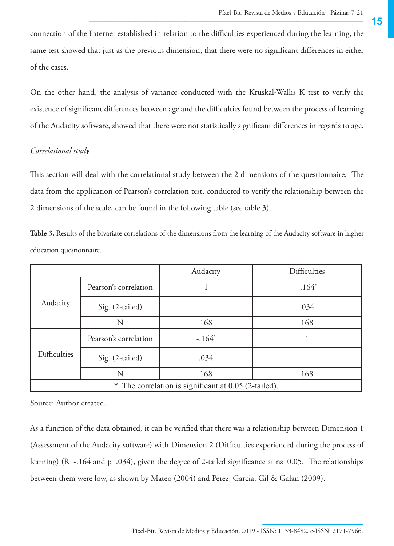connection of the Internet established in relation to the difficulties experienced during the learning, the same test showed that just as the previous dimension, that there were no significant differences in either of the cases.

On the other hand, the analysis of variance conducted with the Kruskal-Wallis K test to verify the existence of significant differences between age and the difficulties found between the process of learning of the Audacity software, showed that there were not statistically significant differences in regards to age.

### *Correlational study*

This section will deal with the correlational study between the 2 dimensions of the questionnaire. The data from the application of Pearson's correlation test, conducted to verify the relationship between the 2 dimensions of the scale, can be found in the following table (see table 3).

| education questionnaire. |  |  |  |
|--------------------------|--|--|--|
|                          |  |  |  |

**Table 3.** Results of the bivariate correlations of the dimensions from the learning of the Audacity software in higher

|                                                       |                       | Audacity | <b>Difficulties</b> |  |  |
|-------------------------------------------------------|-----------------------|----------|---------------------|--|--|
| Audacity                                              | Pearson's correlation |          | $-.164*$            |  |  |
|                                                       | Sig. (2-tailed)       |          | .034                |  |  |
|                                                       | N                     | 168      | 168                 |  |  |
| <b>Difficulties</b>                                   | Pearson's correlation | $-.164*$ |                     |  |  |
|                                                       | Sig. (2-tailed)       | .034     |                     |  |  |
|                                                       | Ν                     | 168      | 168                 |  |  |
| *. The correlation is significant at 0.05 (2-tailed). |                       |          |                     |  |  |

Source: Author created.

As a function of the data obtained, it can be verified that there was a relationship between Dimension 1 (Assessment of the Audacity software) with Dimension 2 (Difficulties experienced during the process of learning) (R=-.164 and p=.034), given the degree of 2-tailed significance at ns=0.05. The relationships between them were low, as shown by Mateo (2004) and Perez, Garcia, Gil & Galan (2009).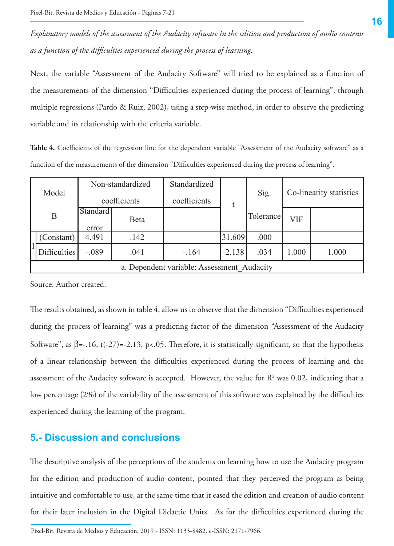*Explanatory models of the assessment of the Audacity software in the edition and production of audio contents as a function of the difficulties experienced during the process of learning.*

Next, the variable "Assessment of the Audacity Software" will tried to be explained as a function of the measurements of the dimension "Difficulties experienced during the process of learning", through multiple regressions (Pardo & Ruiz, 2002), using a step-wise method, in order to observe the predicting variable and its relationship with the criteria variable.

**Table 4.** Coefficients of the regression line for the dependent variable "Assessment of the Audacity software" as a function of the measurements of the dimension "Difficulties experienced during the process of learning".

| Model | Non-standardized                           |          | Standardized | t       | Sig.     | Co-linearity statistics |       |       |
|-------|--------------------------------------------|----------|--------------|---------|----------|-------------------------|-------|-------|
|       | coefficients                               |          | coefficients |         |          |                         |       |       |
|       | B                                          | Standard | Beta         |         |          | Tolerancel              | VIF   |       |
|       |                                            | error    |              |         |          |                         |       |       |
|       | Constant)                                  | 4.491    | .142         |         | 31.609   | .000                    |       |       |
|       | Difficulties                               | $-.089$  | .041         | $-.164$ | $-2.138$ | .034                    | 1.000 | 1.000 |
|       | a. Dependent variable: Assessment Audacity |          |              |         |          |                         |       |       |

Source: Author created.

The results obtained, as shown in table 4, allow us to observe that the dimension "Difficulties experienced during the process of learning" was a predicting factor of the dimension "Assessment of the Audacity Software", as  $\beta = -16$ , t(-27)=-2.13, p<05. Therefore, it is statistically significant, so that the hypothesis of a linear relationship between the difficulties experienced during the process of learning and the assessment of the Audacity software is accepted. However, the value for  $R<sup>2</sup>$  was 0.02, indicating that a low percentage (2%) of the variability of the assessment of this software was explained by the difficulties experienced during the learning of the program.

## **5.- Discussion and conclusions**

**\_\_\_\_\_\_\_\_\_\_\_\_\_\_\_\_\_\_**

The descriptive analysis of the perceptions of the students on learning how to use the Audacity program for the edition and production of audio content, pointed that they perceived the program as being intuitive and comfortable to use, at the same time that it eased the edition and creation of audio content for their later inclusion in the Digital Didactic Units. As for the difficulties experienced during the

Píxel-Bit. Revista de Medios y Educación. 2019 - ISSN: 1133-8482. e-ISSN: 2171-7966.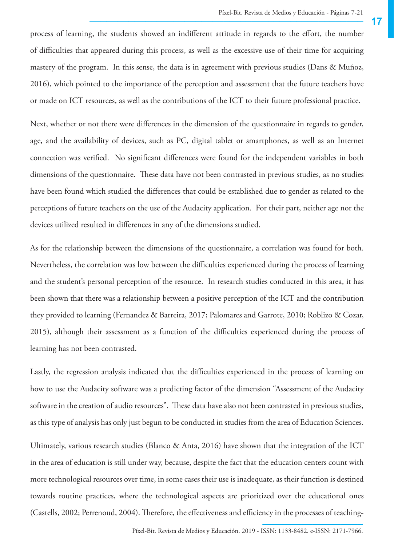process of learning, the students showed an indifferent attitude in regards to the effort, the number of difficulties that appeared during this process, as well as the excessive use of their time for acquiring mastery of the program. In this sense, the data is in agreement with previous studies (Dans & Muñoz, 2016), which pointed to the importance of the perception and assessment that the future teachers have or made on ICT resources, as well as the contributions of the ICT to their future professional practice.

Next, whether or not there were differences in the dimension of the questionnaire in regards to gender, age, and the availability of devices, such as PC, digital tablet or smartphones, as well as an Internet connection was verified. No significant differences were found for the independent variables in both dimensions of the questionnaire. These data have not been contrasted in previous studies, as no studies have been found which studied the differences that could be established due to gender as related to the perceptions of future teachers on the use of the Audacity application. For their part, neither age nor the devices utilized resulted in differences in any of the dimensions studied.

As for the relationship between the dimensions of the questionnaire, a correlation was found for both. Nevertheless, the correlation was low between the difficulties experienced during the process of learning and the student's personal perception of the resource. In research studies conducted in this area, it has been shown that there was a relationship between a positive perception of the ICT and the contribution they provided to learning (Fernandez & Barreira, 2017; Palomares and Garrote, 2010; Roblizo & Cozar, 2015), although their assessment as a function of the difficulties experienced during the process of learning has not been contrasted.

Lastly, the regression analysis indicated that the difficulties experienced in the process of learning on how to use the Audacity software was a predicting factor of the dimension "Assessment of the Audacity software in the creation of audio resources". These data have also not been contrasted in previous studies, as this type of analysis has only just begun to be conducted in studies from the area of Education Sciences.

**\_\_\_\_\_\_\_\_\_\_\_\_\_\_\_\_\_\_** (Castells, 2002; Perrenoud, 2004). Therefore, the effectiveness and efficiency in the processes of teaching-Ultimately, various research studies (Blanco & Anta, 2016) have shown that the integration of the ICT in the area of education is still under way, because, despite the fact that the education centers count with more technological resources over time, in some cases their use is inadequate, as their function is destined towards routine practices, where the technological aspects are prioritized over the educational ones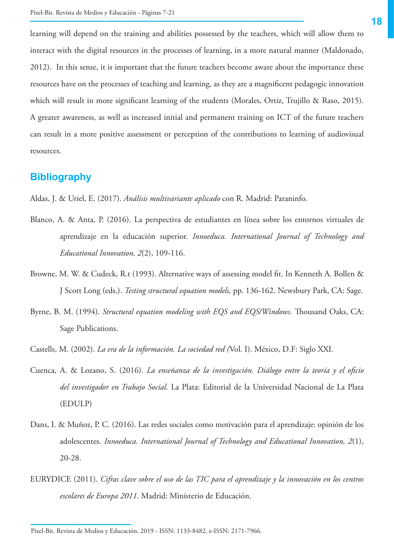learning will depend on the training and abilities possessed by the teachers, which will allow them to interact with the digital resources in the processes of learning, in a more natural manner (Maldonado, 2012). In this sense, it is important that the future teachers become aware about the importance these resources have on the processes of teaching and learning, as they are a magnificent pedagogic innovation which will result in more significant learning of the students (Morales, Ortiz, Trujillo & Raso, 2015). A greater awareness, as well as increased initial and permanent training on ICT of the future teachers can result in a more positive assessment or perception of the contributions to learning of audiovisual resources.

## **Bibliography**

Aldas, J. & Uriel, E. (2017). *Análisis multivariante aplicado* con R. Madrid: Paraninfo.

- Blanco, A. & Anta, P. (2016). La perspectiva de estudiantes en línea sobre los entornos virtuales de aprendizaje en la educación superior. *Innoeduca. International Journal of Technology and Educational Innovation, 2*(2), 109-116.
- Browne, M. W. & Cudeck, R.t (1993). Alternative ways of assessing model fit. In Kenneth A. Bollen & J Scott Long (eds.). *Testing structural equation models,* pp. 136-162. Newsbury Park, CA: Sage.
- Byrne, B. M. (1994). *Structural equation modeling with EQS and EQS/Windows.* Thousand Oaks, CA: Sage Publications.
- Castells, M. (2002). *La era de la información. La sociedad red (*Vol. I). México, D.F: Siglo XXI.
- Cuenca, A. & Lozano, S. (2016). *La enseñanza de la investigación. Diálogo entre la teoría y el oficio del investigador en Trabajo Social.* La Plata: Editorial de la Universidad Nacional de La Plata (EDULP)
- Dans, I. & Muñoz, P. C. (2016). Las redes sociales como motivación para el aprendizaje: opinión de los adolescentes. *Innoeduca. International Journal of Technology and Educational Innovation, 2*(1), 20-28.
- EURYDICE (2011). *Cifras clave sobre el uso de las TIC para el aprendizaje y la innovación en los centros escolares de Europa 2011.* Madrid: Ministerio de Educación.

Píxel-Bit. Revista de Medios y Educación. 2019 - ISSN: 1133-8482. e-ISSN: 2171-7966.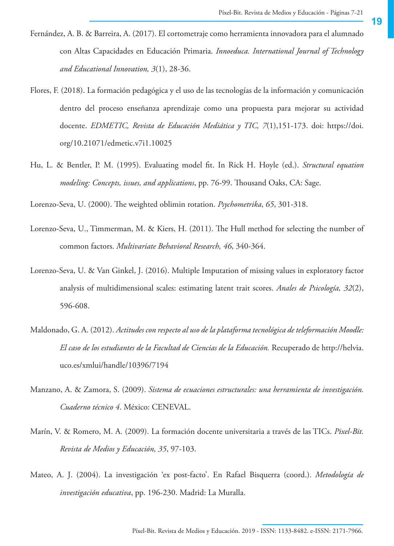- Fernández, A. B. & Barreira, A. (2017). El cortometraje como herramienta innovadora para el alumnado con Altas Capacidades en Educación Primaria. *Innoeduca. International Journal of Technology and Educational Innovation, 3*(1), 28-36.
- Flores, F. (2018). La formación pedagógica y el uso de las tecnologías de la información y comunicación dentro del proceso enseñanza aprendizaje como una propuesta para mejorar su actividad docente. *EDMETIC, Revista de Educación Mediática y TIC, 7*(1),151-173. doi: [https://doi.](https://doi.org/10.21071/edmetic.v7i1.10025) [org/10.21071/edmetic.v7i1.10025](https://doi.org/10.21071/edmetic.v7i1.10025)
- Hu, L. & Bentler, P. M. (1995). Evaluating model fit. In Rick H. Hoyle (ed.). *Structural equation modeling: Concepts, issues, and applications*, pp. 76-99. Thousand Oaks, CA: Sage.

Lorenzo-Seva, U. (2000). The weighted oblimin rotation. *Psychometrika*, *65*, 301-318.

- Lorenzo-Seva, U., Timmerman, M. & Kiers, H. (2011). The Hull method for selecting the number of common factors. *Multivariate Behavioral Research, 46*, 340-364.
- Lorenzo-Seva, U. & Van Ginkel, J. (2016). Multiple Imputation of missing values in exploratory factor analysis of multidimensional scales: estimating latent trait scores. *Anales de Psicología, 32*(2), 596-608.
- Maldonado, G. A. (2012). *Actitudes con respecto al uso de la plataforma tecnológica de teleformación Moodle: El caso de los estudiantes de la Facultad de Ciencias de la Educación.* Recuperado de [http://helvia.](http://helvia.uco.es/xmlui/handle/10396/7194) [uco.es/xmlui/handle/10396/7194](http://helvia.uco.es/xmlui/handle/10396/7194)
- Manzano, A. & Zamora, S. (2009). *Sistema de ecuaciones estructurales: una herramienta de investigación. Cuaderno técnico 4*. México: CENEVAL.
- Marín, V. & Romero, M. A. (2009). La formación docente universitaria a través de las TICs. *Pixel-Bit. Revista de Medios y Educación, 35*, 97-103.
- Mateo, A. J. (2004). La investigación 'ex post-facto'. En Rafael Bisquerra (coord.). *Metodología de investigación educativa*, pp. 196-230. Madrid: La Muralla.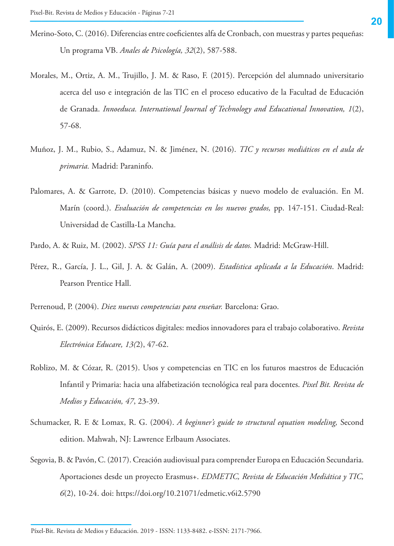- Merino-Soto, C. (2016). Diferencias entre coeficientes alfa de Cronbach, con muestras y partes pequeñas: Un programa VB. *Anales de Psicología, 32*(2), 587-588.
- Morales, M., Ortiz, A. M., Trujillo, J. M. & Raso, F. (2015). Percepción del alumnado universitario acerca del uso e integración de las TIC en el proceso educativo de la Facultad de Educación de Granada. *Innoeduca. International Journal of Technology and Educational Innovation, 1*(2), 57-68.
- Muñoz, J. M., Rubio, S., Adamuz, N. & Jiménez, N. (2016). *TIC y recursos mediáticos en el aula de primaria.* Madrid: Paraninfo.
- Palomares, A. & Garrote, D. (2010). Competencias básicas y nuevo modelo de evaluación. En M. Marín (coord.). *Evaluación de competencias en los nuevos grados,* pp. 147-151. Ciudad-Real: Universidad de Castilla-La Mancha.
- Pardo, A. & Ruiz, M. (2002). *SPSS 11: Guía para el análisis de datos.* Madrid: McGraw-Hill.
- Pérez, R., García, J. L., Gil, J. A. & Galán, A. (2009). *Estadística aplicada a la Educación*. Madrid: Pearson Prentice Hall.
- Perrenoud, P. (2004). *Diez nuevas competencias para enseñar.* Barcelona: Grao.
- Quirós, E. (2009). Recursos didácticos digitales: medios innovadores para el trabajo colaborativo. *Revista Electrónica Educare, 13(*2), 47-62.
- Roblizo, M. & Cózar, R. (2015). Usos y competencias en TIC en los futuros maestros de Educación Infantil y Primaria: hacia una alfabetización tecnológica real para docentes. *Pixel Bit. Revista de Medios y Educación, 47*, 23-39.
- Schumacker, R. E & Lomax, R. G. (2004). *A beginner's guide to structural equation modeling,* Second edition. Mahwah, NJ: Lawrence Erlbaum Associates.
- Segovia, B. & Pavón, C. (2017). Creación audiovisual para comprender Europa en Educación Secundaria. Aportaciones desde un proyecto Erasmus+. *EDMETIC, Revista de Educación Mediática y TIC, 6*(2), 10-24. doi: <https://doi.org/10.21071/edmetic.v6i2.5790>

Píxel-Bit. Revista de Medios y Educación. 2019 - ISSN: 1133-8482. e-ISSN: 2171-7966.